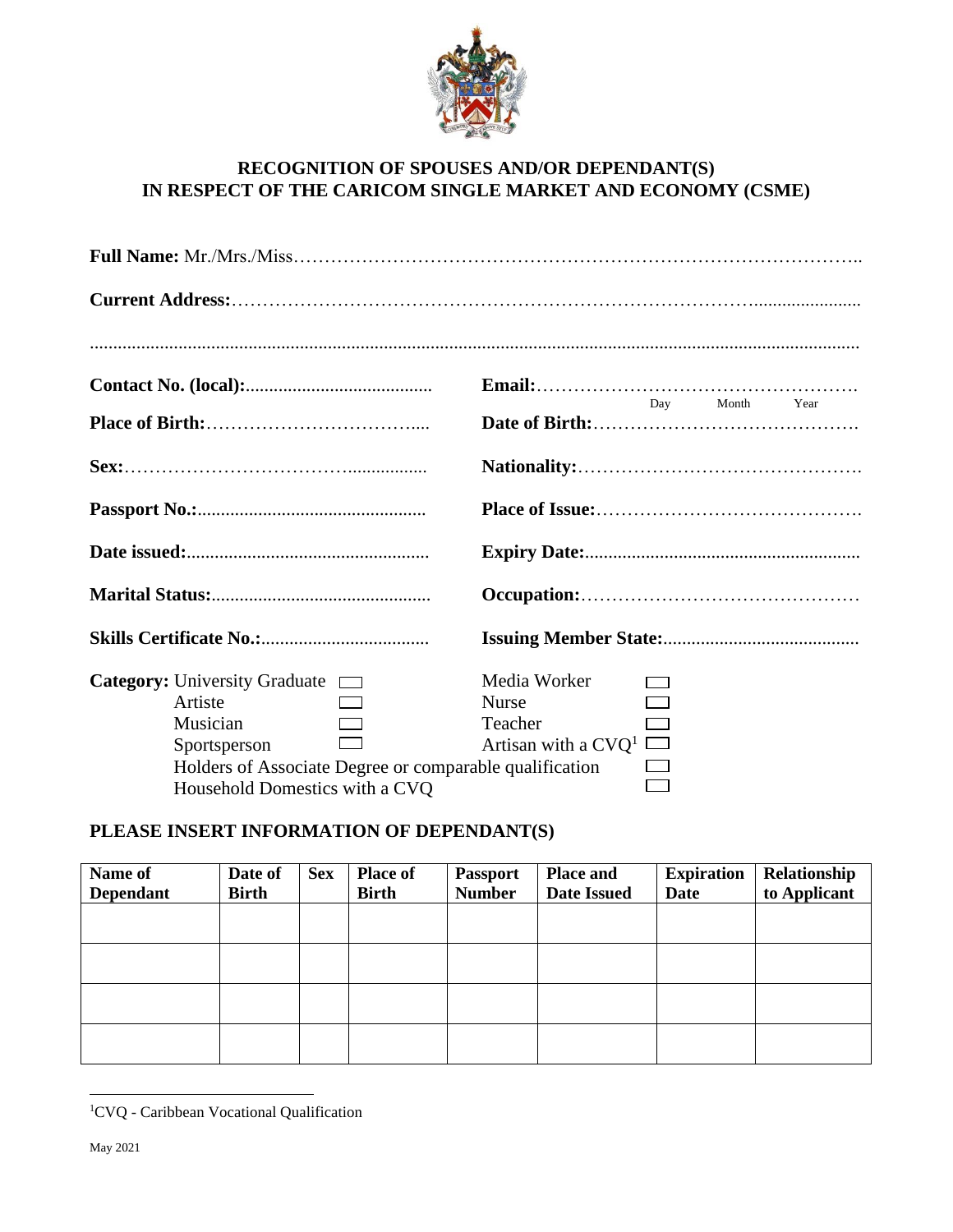

## **RECOGNITION OF SPOUSES AND/OR DEPENDANT(S) IN RESPECT OF THE CARICOM SINGLE MARKET AND ECONOMY (CSME)**

| Day Month Year                                                                                                               |  |  |  |  |  |  |
|------------------------------------------------------------------------------------------------------------------------------|--|--|--|--|--|--|
|                                                                                                                              |  |  |  |  |  |  |
|                                                                                                                              |  |  |  |  |  |  |
|                                                                                                                              |  |  |  |  |  |  |
|                                                                                                                              |  |  |  |  |  |  |
|                                                                                                                              |  |  |  |  |  |  |
| Media Worker<br><b>Nurse</b><br>Teacher<br>Artisan with a $CVQ^1$<br>Holders of Associate Degree or comparable qualification |  |  |  |  |  |  |
|                                                                                                                              |  |  |  |  |  |  |

## **PLEASE INSERT INFORMATION OF DEPENDANT(S)**

| Name of<br><b>Dependant</b> | Date of<br><b>Birth</b> | <b>Sex</b> | <b>Place of</b><br><b>Birth</b> | <b>Passport</b><br><b>Number</b> | <b>Place and</b><br><b>Date Issued</b> | <b>Expiration</b><br>Date | Relationship<br>to Applicant |
|-----------------------------|-------------------------|------------|---------------------------------|----------------------------------|----------------------------------------|---------------------------|------------------------------|
|                             |                         |            |                                 |                                  |                                        |                           |                              |
|                             |                         |            |                                 |                                  |                                        |                           |                              |
|                             |                         |            |                                 |                                  |                                        |                           |                              |
|                             |                         |            |                                 |                                  |                                        |                           |                              |

<sup>1</sup>CVQ - Caribbean Vocational Qualification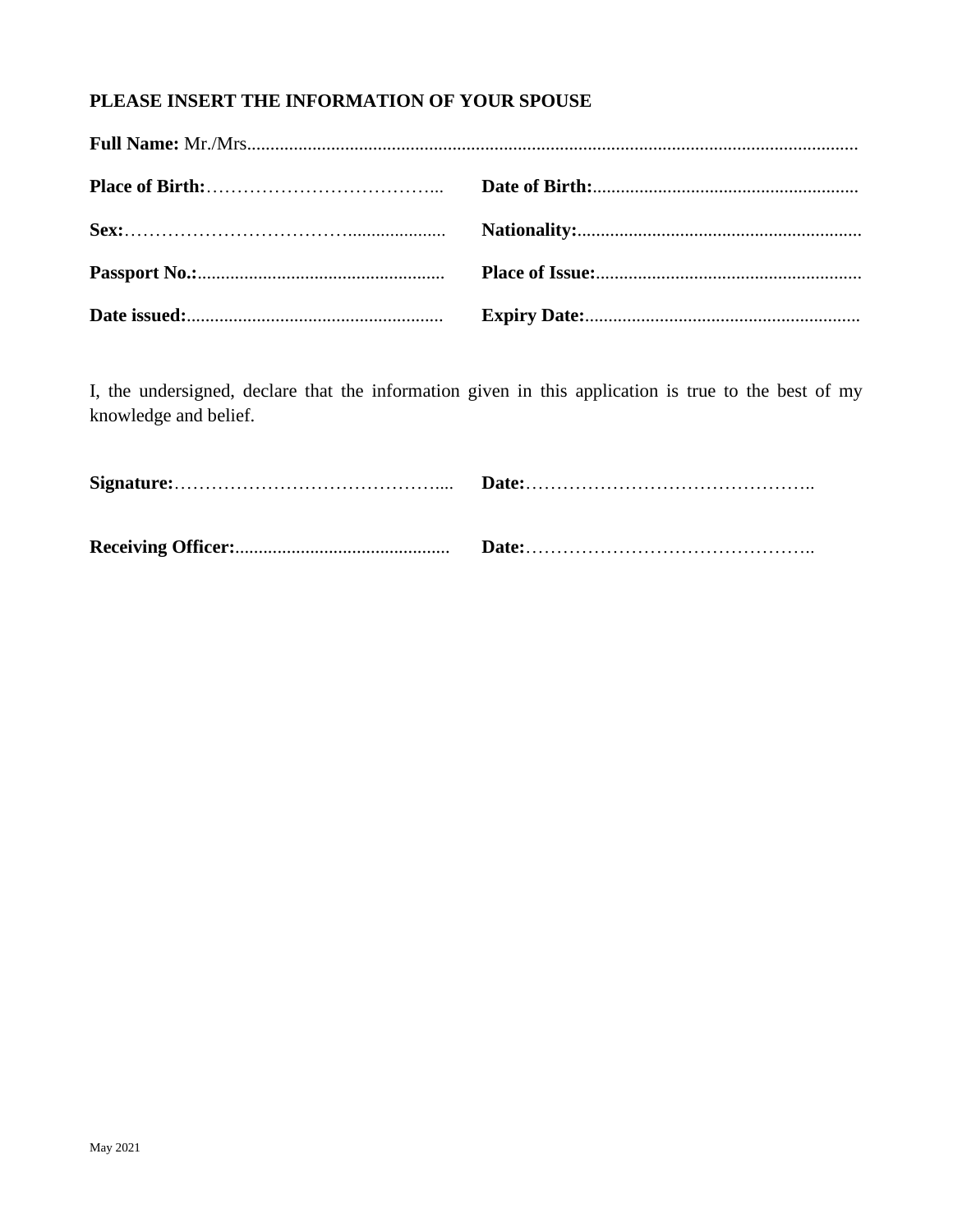## PLEASE INSERT THE INFORMATION OF YOUR SPOUSE

I, the undersigned, declare that the information given in this application is true to the best of my knowledge and belief.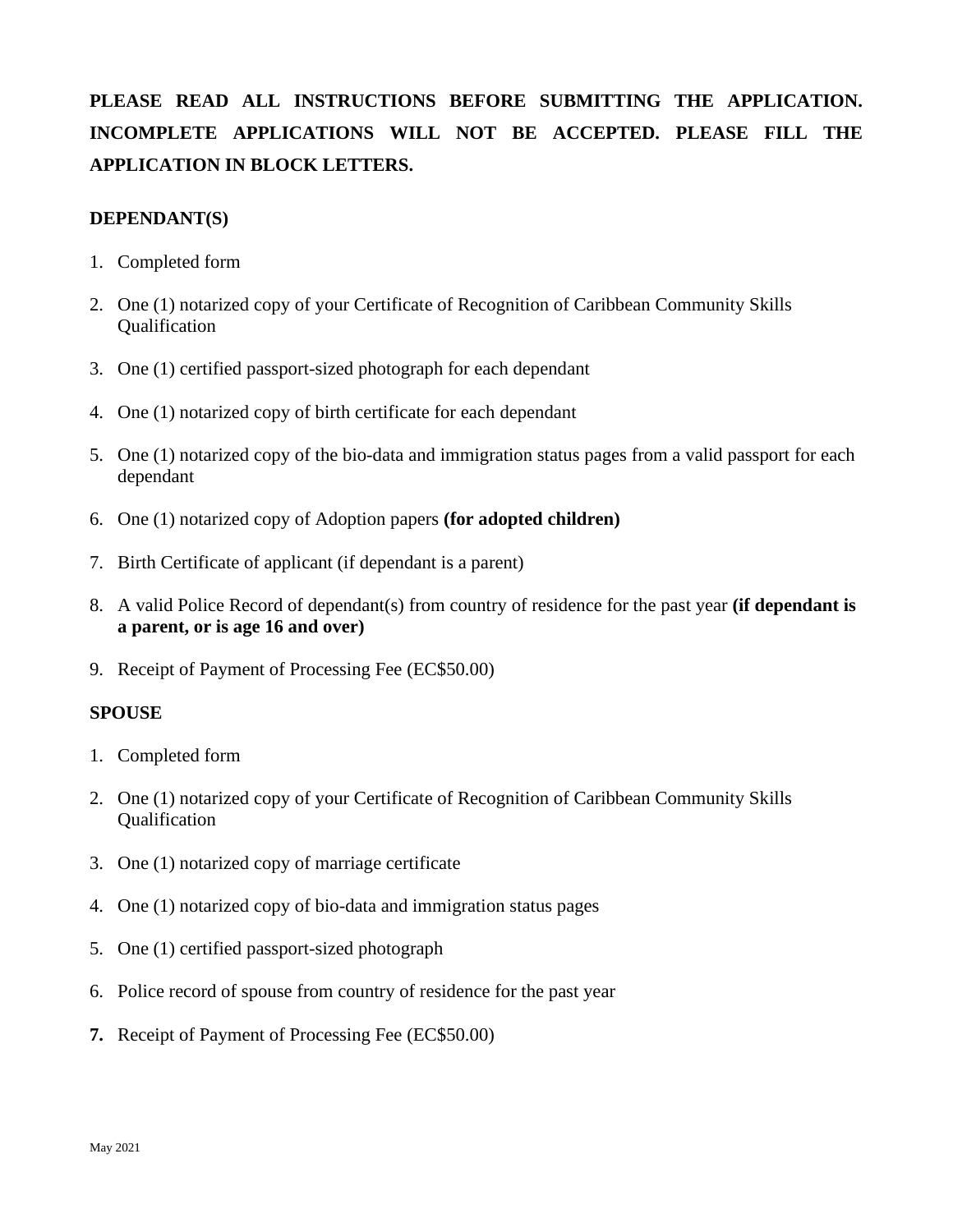# **PLEASE READ ALL INSTRUCTIONS BEFORE SUBMITTING THE APPLICATION. INCOMPLETE APPLICATIONS WILL NOT BE ACCEPTED. PLEASE FILL THE APPLICATION IN BLOCK LETTERS.**

### **DEPENDANT(S)**

- 1. Completed form
- 2. One (1) notarized copy of your Certificate of Recognition of Caribbean Community Skills Qualification
- 3. One (1) certified passport-sized photograph for each dependant
- 4. One (1) notarized copy of birth certificate for each dependant
- 5. One (1) notarized copy of the bio-data and immigration status pages from a valid passport for each dependant
- 6. One (1) notarized copy of Adoption papers **(for adopted children)**
- 7. Birth Certificate of applicant (if dependant is a parent)
- 8. A valid Police Record of dependant(s) from country of residence for the past year **(if dependant is a parent, or is age 16 and over)**
- 9. Receipt of Payment of Processing Fee (EC\$50.00)

#### **SPOUSE**

- 1. Completed form
- 2. One (1) notarized copy of your Certificate of Recognition of Caribbean Community Skills Qualification
- 3. One (1) notarized copy of marriage certificate
- 4. One (1) notarized copy of bio-data and immigration status pages
- 5. One (1) certified passport-sized photograph
- 6. Police record of spouse from country of residence for the past year
- **7.** Receipt of Payment of Processing Fee (EC\$50.00)